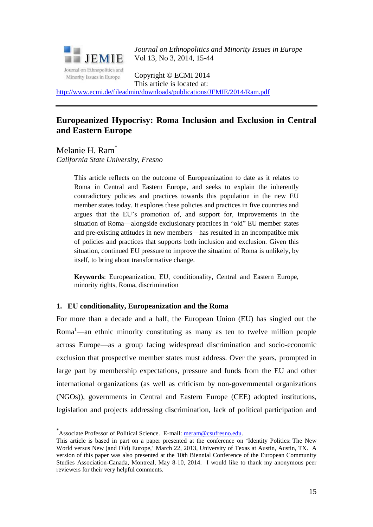

*Journal on Ethnopolitics and Minority Issues in Europe* Vol 13, No 3, 2014, 15-44

Copyright © ECMI 2014 This article is located at:

<http://www.ecmi.de/fileadmin/downloads/publications/JEMIE/2014/Ram.pdf>

# **Europeanized Hypocrisy: Roma Inclusion and Exclusion in Central and Eastern Europe**

Melanie H. Ram<sup>\*</sup> *California State University, Fresno* 

> This article reflects on the outcome of Europeanization to date as it relates to Roma in Central and Eastern Europe, and seeks to explain the inherently contradictory policies and practices towards this population in the new EU member states today. It explores these policies and practices in five countries and argues that the EU's promotion of, and support for, improvements in the situation of Roma—alongside exclusionary practices in "old" EU member states and pre-existing attitudes in new members—has resulted in an incompatible mix of policies and practices that supports both inclusion and exclusion. Given this situation, continued EU pressure to improve the situation of Roma is unlikely, by itself, to bring about transformative change.

> **Keywords**: Europeanization, EU, conditionality, Central and Eastern Europe, minority rights, Roma, discrimination

# **1. EU conditionality, Europeanization and the Roma**

For more than a decade and a half, the European Union (EU) has singled out the Roma<sup>1</sup>—an ethnic minority constituting as many as ten to twelve million people across Europe—as a group facing widespread discrimination and socio-economic exclusion that prospective member states must address. Over the years, prompted in large part by membership expectations, pressure and funds from the EU and other international organizations (as well as criticism by non-governmental organizations (NGOs)), governments in Central and Eastern Europe (CEE) adopted institutions, legislation and projects addressing discrimination, lack of political participation and

1

<sup>\*</sup> Associate Professor of Political Science. E-mail: [meram@csufresno.edu.](mailto:meram@csufresno.edu)

This article is based in part on a paper presented at the conference on 'Identity Politics: The New World versus New (and Old) Europe,' March 22, 2013, University of Texas at Austin, Austin, TX. A version of this paper was also presented at the 10th Biennial Conference of the European Community Studies Association-Canada, Montreal, May 8-10, 2014. I would like to thank my anonymous peer reviewers for their very helpful comments.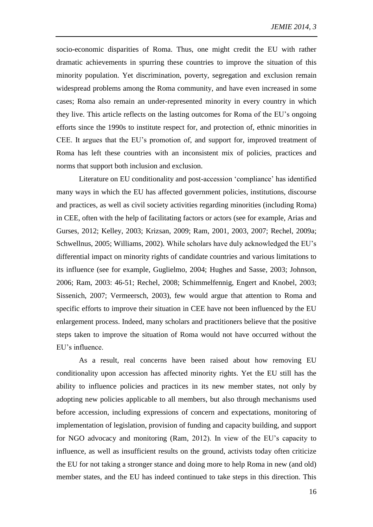socio-economic disparities of Roma. Thus, one might credit the EU with rather dramatic achievements in spurring these countries to improve the situation of this minority population. Yet discrimination, poverty, segregation and exclusion remain widespread problems among the Roma community, and have even increased in some cases; Roma also remain an under-represented minority in every country in which they live. This article reflects on the lasting outcomes for Roma of the EU's ongoing efforts since the 1990s to institute respect for, and protection of, ethnic minorities in CEE. It argues that the EU's promotion of, and support for, improved treatment of Roma has left these countries with an inconsistent mix of policies, practices and norms that support both inclusion and exclusion.

Literature on EU conditionality and post-accession 'compliance' has identified many ways in which the EU has affected government policies, institutions, discourse and practices, as well as civil society activities regarding minorities (including Roma) in CEE, often with the help of facilitating factors or actors (see for example, Arias and Gurses, 2012; Kelley, 2003; Krizsan, 2009; Ram, 2001, 2003, 2007; Rechel, 2009a; Schwellnus, 2005; Williams, 2002). While scholars have duly acknowledged the EU's differential impact on minority rights of candidate countries and various limitations to its influence (see for example, Guglielmo, 2004; Hughes and Sasse, 2003; Johnson, 2006; Ram, 2003: 46-51; Rechel, 2008; Schimmelfennig, Engert and Knobel, 2003; Sissenich, 2007; Vermeersch, 2003), few would argue that attention to Roma and specific efforts to improve their situation in CEE have not been influenced by the EU enlargement process. Indeed, many scholars and practitioners believe that the positive steps taken to improve the situation of Roma would not have occurred without the EU's influence.

As a result, real concerns have been raised about how removing EU conditionality upon accession has affected minority rights. Yet the EU still has the ability to influence policies and practices in its new member states, not only by adopting new policies applicable to all members, but also through mechanisms used before accession, including expressions of concern and expectations, monitoring of implementation of legislation, provision of funding and capacity building, and support for NGO advocacy and monitoring (Ram, 2012). In view of the EU's capacity to influence, as well as insufficient results on the ground, activists today often criticize the EU for not taking a stronger stance and doing more to help Roma in new (and old) member states, and the EU has indeed continued to take steps in this direction. This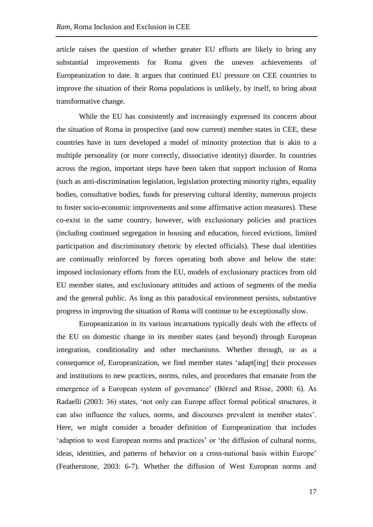article raises the question of whether greater EU efforts are likely to bring any substantial improvements for Roma given the uneven achievements of Europeanization to date. It argues that continued EU pressure on CEE countries to improve the situation of their Roma populations is unlikely, by itself, to bring about transformative change.

While the EU has consistently and increasingly expressed its concern about the situation of Roma in prospective (and now current) member states in CEE, these countries have in turn developed a model of minority protection that is akin to a multiple personality (or more correctly, dissociative identity) disorder. In countries across the region, important steps have been taken that support inclusion of Roma (such as anti-discrimination legislation, legislation protecting minority rights, equality bodies, consultative bodies, funds for preserving cultural identity, numerous projects to foster socio-economic improvements and some affirmative action measures). These co-exist in the same country, however, with exclusionary policies and practices (including continued segregation in housing and education, forced evictions, limited participation and discriminatory rhetoric by elected officials). These dual identities are continually reinforced by forces operating both above and below the state: imposed inclusionary efforts from the EU, models of exclusionary practices from old EU member states, and exclusionary attitudes and actions of segments of the media and the general public. As long as this paradoxical environment persists, substantive progress in improving the situation of Roma will continue to be exceptionally slow.

Europeanization in its various incarnations typically deals with the effects of the EU on domestic change in its member states (and beyond) through European integration, conditionality and other mechanisms. Whether through, or as a consequence of, Europeanization, we find member states 'adapt[ing] their processes and institutions to new practices, norms, rules, and procedures that emanate from the emergence of a European system of governance' (Börzel and Risse, 2000: 6). As Radaelli (2003: 36) states, 'not only can Europe affect formal political structures, it can also influence the values, norms, and discourses prevalent in member states'. Here, we might consider a broader definition of Europeanization that includes 'adaption to west European norms and practices' or 'the diffusion of cultural norms, ideas, identities, and patterns of behavior on a cross-national basis within Europe' (Featherstone, 2003: 6-7). Whether the diffusion of West European norms and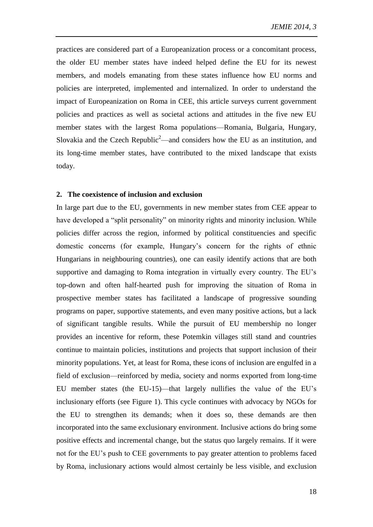practices are considered part of a Europeanization process or a concomitant process, the older EU member states have indeed helped define the EU for its newest members, and models emanating from these states influence how EU norms and policies are interpreted, implemented and internalized. In order to understand the impact of Europeanization on Roma in CEE, this article surveys current government policies and practices as well as societal actions and attitudes in the five new EU member states with the largest Roma populations—Romania, Bulgaria, Hungary, Slovakia and the Czech Republic<sup>2</sup>—and considers how the EU as an institution, and its long-time member states, have contributed to the mixed landscape that exists today.

#### **2. The coexistence of inclusion and exclusion**

In large part due to the EU, governments in new member states from CEE appear to have developed a "split personality" on minority rights and minority inclusion. While policies differ across the region, informed by political constituencies and specific domestic concerns (for example, Hungary's concern for the rights of ethnic Hungarians in neighbouring countries), one can easily identify actions that are both supportive and damaging to Roma integration in virtually every country. The EU's top-down and often half-hearted push for improving the situation of Roma in prospective member states has facilitated a landscape of progressive sounding programs on paper, supportive statements, and even many positive actions, but a lack of significant tangible results. While the pursuit of EU membership no longer provides an incentive for reform, these Potemkin villages still stand and countries continue to maintain policies, institutions and projects that support inclusion of their minority populations. Yet, at least for Roma, these icons of inclusion are engulfed in a field of exclusion—reinforced by media, society and norms exported from long-time EU member states (the EU-15)—that largely nullifies the value of the EU's inclusionary efforts (see Figure 1). This cycle continues with advocacy by NGOs for the EU to strengthen its demands; when it does so, these demands are then incorporated into the same exclusionary environment. Inclusive actions do bring some positive effects and incremental change, but the status quo largely remains. If it were not for the EU's push to CEE governments to pay greater attention to problems faced by Roma, inclusionary actions would almost certainly be less visible, and exclusion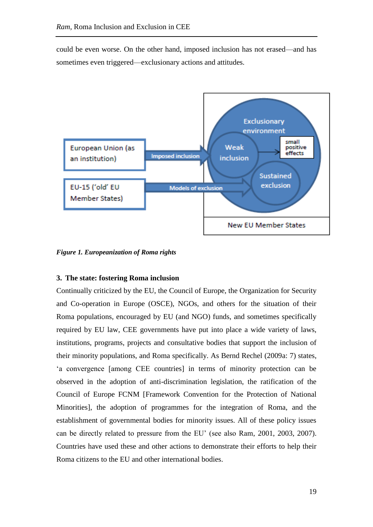could be even worse. On the other hand, imposed inclusion has not erased—and has sometimes even triggered—exclusionary actions and attitudes.



*Figure 1. Europeanization of Roma rights*

# **3. The state: fostering Roma inclusion**

Continually criticized by the EU, the Council of Europe, the Organization for Security and Co-operation in Europe (OSCE), NGOs, and others for the situation of their Roma populations, encouraged by EU (and NGO) funds, and sometimes specifically required by EU law, CEE governments have put into place a wide variety of laws, institutions, programs, projects and consultative bodies that support the inclusion of their minority populations, and Roma specifically. As Bernd Rechel (2009a: 7) states, 'a convergence [among CEE countries] in terms of minority protection can be observed in the adoption of anti-discrimination legislation, the ratification of the Council of Europe FCNM [Framework Convention for the Protection of National Minorities], the adoption of programmes for the integration of Roma, and the establishment of governmental bodies for minority issues. All of these policy issues can be directly related to pressure from the EU' (see also Ram, 2001, 2003, 2007). Countries have used these and other actions to demonstrate their efforts to help their Roma citizens to the EU and other international bodies.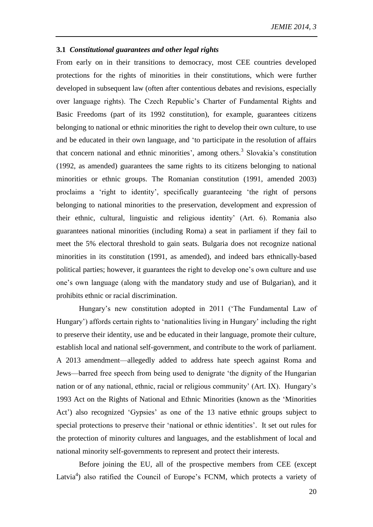#### **3.1** *Constitutional guarantees and other legal rights*

From early on in their transitions to democracy, most CEE countries developed protections for the rights of minorities in their constitutions, which were further developed in subsequent law (often after contentious debates and revisions, especially over language rights). The Czech Republic's Charter of Fundamental Rights and Basic Freedoms (part of its 1992 constitution), for example, guarantees citizens belonging to national or ethnic minorities the right to develop their own culture, to use and be educated in their own language, and 'to participate in the resolution of affairs that concern national and ethnic minorities', among others.<sup>3</sup> Slovakia's constitution (1992, as amended) guarantees the same rights to its citizens belonging to national minorities or ethnic groups. The Romanian constitution (1991, amended 2003) proclaims a 'right to identity', specifically guaranteeing 'the right of persons belonging to national minorities to the preservation, development and expression of their ethnic, cultural, linguistic and religious identity' (Art. 6). Romania also guarantees national minorities (including Roma) a seat in parliament if they fail to meet the 5% electoral threshold to gain seats. Bulgaria does not recognize national minorities in its constitution (1991, as amended), and indeed bars ethnically-based political parties; however, it guarantees the right to develop one's own culture and use one's own language (along with the mandatory study and use of Bulgarian), and it prohibits ethnic or racial discrimination.

Hungary's new constitution adopted in 2011 ('The Fundamental Law of Hungary') affords certain rights to 'nationalities living in Hungary' including the right to preserve their identity, use and be educated in their language, promote their culture, establish local and national self-government, and contribute to the work of parliament. A 2013 amendment—allegedly added to address hate speech against Roma and Jews—barred free speech from being used to denigrate 'the dignity of the Hungarian nation or of any national, ethnic, racial or religious community' (Art. IX). Hungary's 1993 Act on the Rights of National and Ethnic Minorities (known as the 'Minorities Act') also recognized 'Gypsies' as one of the 13 native ethnic groups subject to special protections to preserve their 'national or ethnic identities'. It set out rules for the protection of minority cultures and languages, and the establishment of local and national minority self-governments to represent and protect their interests.

Before joining the EU, all of the prospective members from CEE (except Latvia<sup>4</sup>) also ratified the Council of Europe's FCNM, which protects a variety of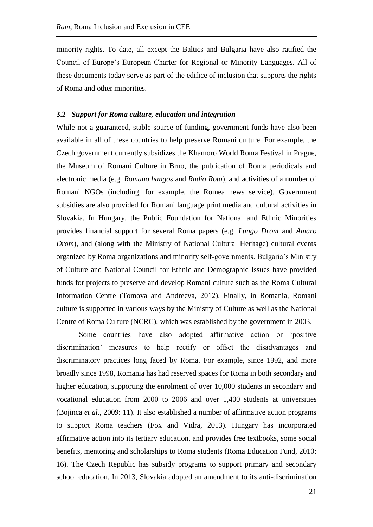minority rights. To date, all except the Baltics and Bulgaria have also ratified the Council of Europe's European Charter for Regional or Minority Languages. All of these documents today serve as part of the edifice of inclusion that supports the rights of Roma and other minorities.

## **3.2** *Support for Roma culture, education and integration*

While not a guaranteed, stable source of funding, government funds have also been available in all of these countries to help preserve Romani culture. For example, the Czech government currently subsidizes the Khamoro World Roma Festival in Prague, the Museum of Romani Culture in Brno, the publication of Roma periodicals and electronic media (e.g. *Romano hangos* and *Radio Rota*), and activities of a number of Romani NGOs (including, for example, the Romea news service). Government subsidies are also provided for Romani language print media and cultural activities in Slovakia. In Hungary, the Public Foundation for National and Ethnic Minorities provides financial support for several Roma papers (e.g. *Lungo Drom* and *Amaro Drom*), and (along with the Ministry of National Cultural Heritage) cultural events organized by Roma organizations and minority self-governments. Bulgaria's Ministry of Culture and National Council for Ethnic and Demographic Issues have provided funds for projects to preserve and develop Romani culture such as the Roma Cultural Information Centre (Tomova and Andreeva, 2012). Finally, in Romania, Romani culture is supported in various ways by the Ministry of Culture as well as the National Centre of Roma Culture (NCRC), which was established by the government in 2003.

Some countries have also adopted affirmative action or 'positive discrimination' measures to help rectify or offset the disadvantages and discriminatory practices long faced by Roma. For example, since 1992, and more broadly since 1998, Romania has had reserved spaces for Roma in both secondary and higher education, supporting the enrolment of over 10,000 students in secondary and vocational education from 2000 to 2006 and over 1,400 students at universities (Bojinca *et al*., 2009: 11). It also established a number of affirmative action programs to support Roma teachers (Fox and Vidra, 2013). Hungary has incorporated affirmative action into its tertiary education, and provides free textbooks, some social benefits, mentoring and scholarships to Roma students (Roma Education Fund, 2010: 16). The Czech Republic has subsidy programs to support primary and secondary school education. In 2013, Slovakia adopted an amendment to its anti-discrimination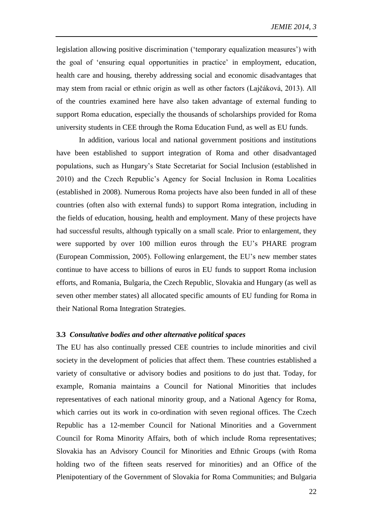legislation allowing positive discrimination ('temporary equalization measures') with the goal of 'ensuring equal opportunities in practice' in employment, education, health care and housing, thereby addressing social and economic disadvantages that may stem from racial or ethnic origin as well as other factors (Lajčáková, 2013). All of the countries examined here have also taken advantage of external funding to support Roma education, especially the thousands of scholarships provided for Roma university students in CEE through the Roma Education Fund, as well as EU funds.

In addition, various local and national government positions and institutions have been established to support integration of Roma and other disadvantaged populations, such as Hungary's State Secretariat for Social Inclusion (established in 2010) and the Czech Republic's Agency for Social Inclusion in Roma Localities (established in 2008). Numerous Roma projects have also been funded in all of these countries (often also with external funds) to support Roma integration, including in the fields of education, housing, health and employment. Many of these projects have had successful results, although typically on a small scale. Prior to enlargement, they were supported by over 100 million euros through the EU's PHARE program (European Commission, 2005). Following enlargement, the EU's new member states continue to have access to billions of euros in EU funds to support Roma inclusion efforts, and Romania, Bulgaria, the Czech Republic, Slovakia and Hungary (as well as seven other member states) all allocated specific amounts of EU funding for Roma in their National Roma Integration Strategies.

## **3.3** *Consultative bodies and other alternative political spaces*

The EU has also continually pressed CEE countries to include minorities and civil society in the development of policies that affect them. These countries established a variety of consultative or advisory bodies and positions to do just that. Today, for example, Romania maintains a Council for National Minorities that includes representatives of each national minority group, and a National Agency for Roma, which carries out its work in co-ordination with seven regional offices. The Czech Republic has a 12-member Council for National Minorities and a Government Council for Roma Minority Affairs, both of which include Roma representatives; Slovakia has an Advisory Council for Minorities and Ethnic Groups (with Roma holding two of the fifteen seats reserved for minorities) and an Office of the Plenipotentiary of the Government of Slovakia for Roma Communities; and Bulgaria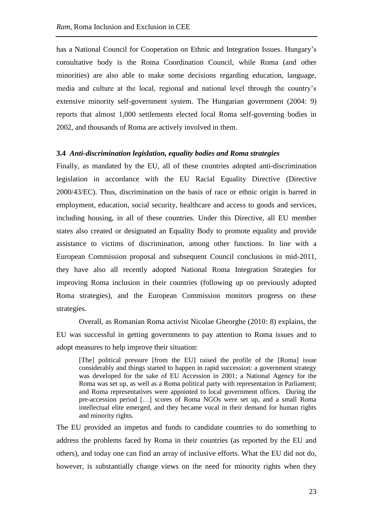has a National Council for Cooperation on Ethnic and Integration Issues. Hungary's consultative body is the Roma Coordination Council, while Roma (and other minorities) are also able to make some decisions regarding education, language, media and culture at the local, regional and national level through the country's extensive minority self-government system. The Hungarian government (2004: 9) reports that almost 1,000 settlements elected local Roma self-governing bodies in 2002, and thousands of Roma are actively involved in them.

## **3.4** *Anti-discrimination legislation, equality bodies and Roma strategies*

Finally, as mandated by the EU, all of these countries adopted anti-discrimination legislation in accordance with the EU Racial Equality Directive (Directive 2000/43/EC). Thus, discrimination on the basis of race or ethnic origin is barred in employment, education, social security, healthcare and access to goods and services, including housing, in all of these countries. Under this Directive, all EU member states also created or designated an Equality Body to promote equality and provide assistance to victims of discrimination, among other functions. In line with a European Commission proposal and subsequent Council conclusions in mid-2011, they have also all recently adopted National Roma Integration Strategies for improving Roma inclusion in their countries (following up on previously adopted Roma strategies), and the European Commission monitors progress on these strategies.

Overall, as Romanian Roma activist Nicolae Gheorghe (2010: 8) explains, the EU was successful in getting governments to pay attention to Roma issues and to adopt measures to help improve their situation:

[The] political pressure [from the EU] raised the profile of the [Roma] issue considerably and things started to happen in rapid succession: a government strategy was developed for the sake of EU Accession in 2001; a National Agency for the Roma was set up, as well as a Roma political party with representation in Parliament; and Roma representatives were appointed to local government offices. During the pre-accession period […] scores of Roma NGOs were set up, and a small Roma intellectual elite emerged, and they became vocal in their demand for human rights and minority rights.

The EU provided an impetus and funds to candidate countries to do something to address the problems faced by Roma in their countries (as reported by the EU and others), and today one can find an array of inclusive efforts. What the EU did not do, however, is substantially change views on the need for minority rights when they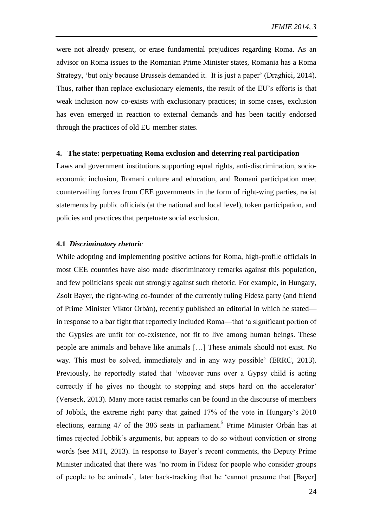were not already present, or erase fundamental prejudices regarding Roma. As an advisor on Roma issues to the Romanian Prime Minister states, Romania has a Roma Strategy, 'but only because Brussels demanded it. It is just a paper' (Draghici, 2014). Thus, rather than replace exclusionary elements, the result of the EU's efforts is that weak inclusion now co-exists with exclusionary practices; in some cases, exclusion has even emerged in reaction to external demands and has been tacitly endorsed through the practices of old EU member states.

## **4. The state: perpetuating Roma exclusion and deterring real participation**

Laws and government institutions supporting equal rights, anti-discrimination, socioeconomic inclusion, Romani culture and education, and Romani participation meet countervailing forces from CEE governments in the form of right-wing parties, racist statements by public officials (at the national and local level), token participation, and policies and practices that perpetuate social exclusion.

## **4.1** *Discriminatory rhetoric*

While adopting and implementing positive actions for Roma, high-profile officials in most CEE countries have also made discriminatory remarks against this population, and few politicians speak out strongly against such rhetoric. For example, in Hungary, Zsolt Bayer, the right-wing co-founder of the currently ruling Fidesz party (and friend of Prime Minister Viktor Orbán), recently published an editorial in which he stated in response to a bar fight that reportedly included Roma—that 'a significant portion of the Gypsies are unfit for co-existence, not fit to live among human beings. These people are animals and behave like animals […] These animals should not exist. No way. This must be solved, immediately and in any way possible' (ERRC, 2013). Previously, he reportedly stated that 'whoever runs over a Gypsy child is acting correctly if he gives no thought to stopping and steps hard on the accelerator' (Verseck, 2013). Many more racist remarks can be found in the discourse of members of Jobbik, the extreme right party that gained 17% of the vote in Hungary's 2010 elections, earning 47 of the 386 seats in parliament.<sup>5</sup> Prime Minister Orbán has at times rejected Jobbik's arguments, but appears to do so without conviction or strong words (see MTI, 2013). In response to Bayer's recent comments, the Deputy Prime Minister indicated that there was 'no room in Fidesz for people who consider groups of people to be animals', later back-tracking that he 'cannot presume that [Bayer]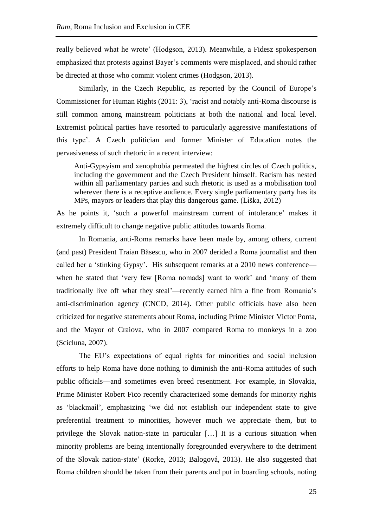really believed what he wrote' (Hodgson, 2013). Meanwhile, a Fidesz spokesperson emphasized that protests against Bayer's comments were misplaced, and should rather be directed at those who commit violent crimes (Hodgson, 2013).

Similarly, in the Czech Republic, as reported by the Council of Europe's Commissioner for Human Rights (2011: 3), 'racist and notably anti-Roma discourse is still common among mainstream politicians at both the national and local level. Extremist political parties have resorted to particularly aggressive manifestations of this type'. A Czech politician and former Minister of Education notes the pervasiveness of such rhetoric in a recent interview:

Anti-Gypsyism and xenophobia permeated the highest circles of Czech politics, including the government and the Czech President himself. Racism has nested within all parliamentary parties and such rhetoric is used as a mobilisation tool wherever there is a receptive audience. Every single parliamentary party has its MPs, mayors or leaders that play this dangerous game. (Liška, 2012)

As he points it, 'such a powerful mainstream current of intolerance' makes it extremely difficult to change negative public attitudes towards Roma.

In Romania, anti-Roma remarks have been made by, among others, current (and past) President Traian Băsescu, who in 2007 derided a Roma journalist and then called her a 'stinking Gypsy'. His subsequent remarks at a 2010 news conference when he stated that 'very few [Roma nomads] want to work' and 'many of them traditionally live off what they steal'—recently earned him a fine from Romania's anti-discrimination agency (CNCD, 2014). Other public officials have also been criticized for negative statements about Roma, including Prime Minister Victor Ponta, and the Mayor of Craiova, who in 2007 compared Roma to monkeys in a zoo (Scicluna, 2007).

The EU's expectations of equal rights for minorities and social inclusion efforts to help Roma have done nothing to diminish the anti-Roma attitudes of such public officials—and sometimes even breed resentment. For example, in Slovakia, Prime Minister Robert Fico recently characterized some demands for minority rights as 'blackmail', emphasizing 'we did not establish our independent state to give preferential treatment to minorities, however much we appreciate them, but to privilege the Slovak nation-state in particular […] It is a curious situation when minority problems are being intentionally foregrounded everywhere to the detriment of the Slovak nation-state' (Rorke, 2013; Balogová, 2013). He also suggested that Roma children should be taken from their parents and put in boarding schools, noting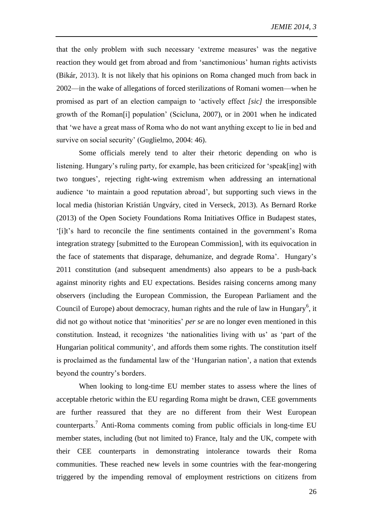that the only problem with such necessary 'extreme measures' was the negative reaction they would get from abroad and from 'sanctimonious' human rights activists (Bikár, 2013). It is not likely that his opinions on Roma changed much from back in 2002—in the wake of allegations of forced sterilizations of Romani women—when he promised as part of an election campaign to 'actively effect *[sic]* the irresponsible growth of the Roman[i] population' (Scicluna, 2007), or in 2001 when he indicated that 'we have a great mass of Roma who do not want anything except to lie in bed and survive on social security' (Guglielmo, 2004: 46).

Some officials merely tend to alter their rhetoric depending on who is listening. Hungary's ruling party, for example, has been criticized for 'speak[ing] with two tongues', rejecting right-wing extremism when addressing an international audience 'to maintain a good reputation abroad', but supporting such views in the local media (historian Kristián Ungváry, cited in Verseck, 2013). As Bernard Rorke (2013) of the Open Society Foundations Roma Initiatives Office in Budapest states, '[i]t's hard to reconcile the fine sentiments contained in the government's Roma integration strategy [submitted to the European Commission], with its equivocation in the face of statements that disparage, dehumanize, and degrade Roma'. Hungary's 2011 constitution (and subsequent amendments) also appears to be a push-back against minority rights and EU expectations. Besides raising concerns among many observers (including the European Commission, the European Parliament and the Council of Europe) about democracy, human rights and the rule of law in Hungary<sup>6</sup>, it did not go without notice that 'minorities' *per se* are no longer even mentioned in this constitution. Instead, it recognizes 'the nationalities living with us' as 'part of the Hungarian political community', and affords them some rights. The constitution itself is proclaimed as the fundamental law of the 'Hungarian nation', a nation that extends beyond the country's borders.

When looking to long-time EU member states to assess where the lines of acceptable rhetoric within the EU regarding Roma might be drawn, CEE governments are further reassured that they are no different from their West European counterparts.<sup>7</sup> Anti-Roma comments coming from public officials in long-time EU member states, including (but not limited to) France, Italy and the UK, compete with their CEE counterparts in demonstrating intolerance towards their Roma communities. These reached new levels in some countries with the fear-mongering triggered by the impending removal of employment restrictions on citizens from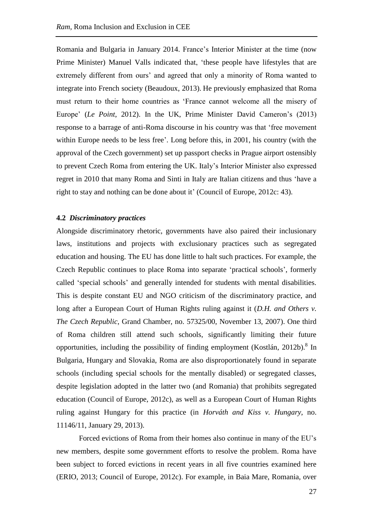Romania and Bulgaria in January 2014. France's Interior Minister at the time (now Prime Minister) Manuel Valls indicated that, 'these people have lifestyles that are extremely different from ours' and agreed that only a minority of Roma wanted to integrate into French society (Beaudoux, 2013). He previously emphasized that Roma must return to their home countries as 'France cannot welcome all the misery of Europe' (*Le Point*, 2012). In the UK, Prime Minister David Cameron's (2013) response to a barrage of anti-Roma discourse in his country was that 'free movement within Europe needs to be less free'. Long before this, in 2001, his country (with the approval of the Czech government) set up passport checks in Prague airport ostensibly to prevent Czech Roma from entering the UK. Italy's Interior Minister also expressed regret in 2010 that many Roma and Sinti in Italy are Italian citizens and thus 'have a right to stay and nothing can be done about it' (Council of Europe, 2012c: 43).

# **4.2** *Discriminatory practices*

Alongside discriminatory rhetoric, governments have also paired their inclusionary laws, institutions and projects with exclusionary practices such as segregated education and housing. The EU has done little to halt such practices. For example, the Czech Republic continues to place Roma into separate 'practical schools', formerly called 'special schools' and generally intended for students with mental disabilities. This is despite constant EU and NGO criticism of the discriminatory practice, and long after a European Court of Human Rights ruling against it (*D.H. and Others v. The Czech Republic*, Grand Chamber, no. 57325/00, November 13, 2007). One third of Roma children still attend such schools, significantly limiting their future opportunities, including the possibility of finding employment (Kostlán, 2012b).<sup>8</sup> In Bulgaria, Hungary and Slovakia, Roma are also disproportionately found in separate schools (including special schools for the mentally disabled) or segregated classes, despite legislation adopted in the latter two (and Romania) that prohibits segregated education (Council of Europe, 2012c), as well as a European Court of Human Rights ruling against Hungary for this practice (in *Horváth and Kiss v. Hungary*, no. 11146/11, January 29, 2013).

Forced evictions of Roma from their homes also continue in many of the EU's new members, despite some government efforts to resolve the problem. Roma have been subject to forced evictions in recent years in all five countries examined here (ERIO, 2013; Council of Europe, 2012c). For example, in Baia Mare, Romania, over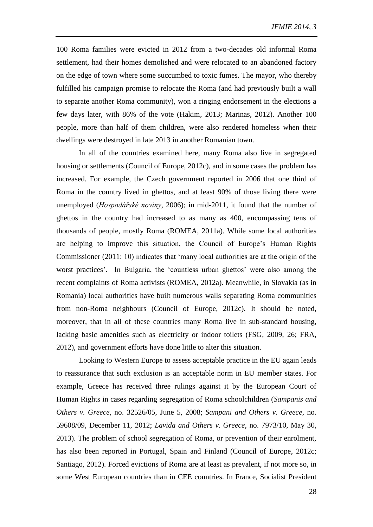100 Roma families were evicted in 2012 from a two-decades old informal Roma settlement, had their homes demolished and were relocated to an abandoned factory on the edge of town where some succumbed to toxic fumes. The mayor, who thereby fulfilled his campaign promise to relocate the Roma (and had previously built a wall to separate another Roma community), won a ringing endorsement in the elections a few days later, with 86% of the vote (Hakim, 2013; Marinas, 2012). Another 100 people, more than half of them children, were also rendered homeless when their dwellings were destroyed in late 2013 in another Romanian town.

In all of the countries examined here, many Roma also live in segregated housing or settlements (Council of Europe, 2012c), and in some cases the problem has increased. For example, the Czech government reported in 2006 that one third of Roma in the country lived in ghettos, and at least 90% of those living there were unemployed (*[Hospodářské noviny](http://hn.ihned.cz/)*, 2006); in mid-2011, it found that the number of ghettos in the country had increased to as many as 400, encompassing tens of thousands of people, mostly Roma (ROMEA, 2011a). While some local authorities are helping to improve this situation, the Council of Europe's Human Rights Commissioner (2011: 10) indicates that 'many local authorities are at the origin of the worst practices'. In Bulgaria, the 'countless urban ghettos' were also among the recent complaints of Roma activists (ROMEA, 2012a). Meanwhile, in Slovakia (as in Romania) local authorities have built numerous walls separating Roma communities from non-Roma neighbours (Council of Europe, 2012c). It should be noted, moreover, that in all of these countries many Roma live in sub-standard housing, lacking basic amenities such as electricity or indoor toilets (FSG, 2009, 26; FRA, 2012), and government efforts have done little to alter this situation.

Looking to Western Europe to assess acceptable practice in the EU again leads to reassurance that such exclusion is an acceptable norm in EU member states. For example, Greece has received three rulings against it by the European Court of Human Rights in cases regarding segregation of Roma schoolchildren (*Sampanis and Others v. Greece*, no. 32526/05, June 5, 2008; *Sampani and Others v. Greece*, no. 59608/09, December 11, 2012; *Lavida and Others v. Greece*, no. 7973/10, May 30, 2013). The problem of school segregation of Roma, or prevention of their enrolment, has also been reported in Portugal, Spain and Finland (Council of Europe, 2012c; Santiago, 2012). Forced evictions of Roma are at least as prevalent, if not more so, in some West European countries than in CEE countries. In France, Socialist President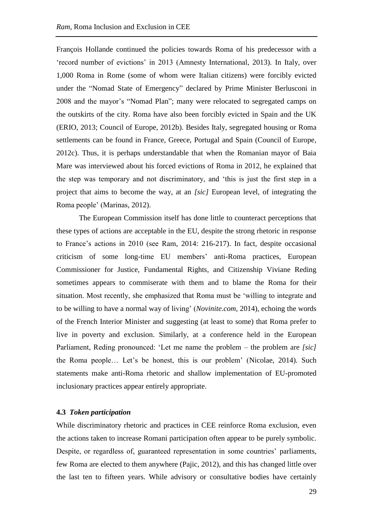François Hollande continued the policies towards Roma of his predecessor with a 'record number of evictions' in 2013 (Amnesty International, 2013). In Italy, over 1,000 Roma in Rome (some of whom were Italian citizens) were forcibly evicted under the "Nomad State of Emergency" declared by Prime Minister Berlusconi in 2008 and the mayor's "Nomad Plan"; many were relocated to segregated camps on the outskirts of the city. Roma have also been forcibly evicted in Spain and the UK (ERIO, 2013; Council of Europe, 2012b). Besides Italy, segregated housing or Roma settlements can be found in France, Greece, Portugal and Spain (Council of Europe, 2012c). Thus, it is perhaps understandable that when the Romanian mayor of Baia Mare was interviewed about his forced evictions of Roma in 2012, he explained that the step was temporary and not discriminatory, and 'this is just the first step in a project that aims to become the way, at an *[sic]* European level, of integrating the Roma people' (Marinas, 2012).

The European Commission itself has done little to counteract perceptions that these types of actions are acceptable in the EU, despite the strong rhetoric in response to France's actions in 2010 (see Ram, 2014: 216-217). In fact, despite occasional criticism of some long-time EU members' anti-Roma practices, European Commissioner for Justice, Fundamental Rights, and Citizenship Viviane Reding sometimes appears to commiserate with them and to blame the Roma for their situation. Most recently, she emphasized that Roma must be 'willing to integrate and to be willing to have a normal way of living' (*Novinite.com*, 2014), echoing the words of the French Interior Minister and suggesting (at least to some) that Roma prefer to live in poverty and exclusion. Similarly, at a conference held in the European Parliament, Reding pronounced: 'Let me name the problem – the problem are *[sic]* the Roma people… Let's be honest, this is our problem' (Nicolae, 2014). Such statements make anti-Roma rhetoric and shallow implementation of EU-promoted inclusionary practices appear entirely appropriate.

## **4.3** *Token participation*

While discriminatory rhetoric and practices in CEE reinforce Roma exclusion, even the actions taken to increase Romani participation often appear to be purely symbolic. Despite, or regardless of, guaranteed representation in some countries' parliaments, few Roma are elected to them anywhere (Pajic, 2012), and this has changed little over the last ten to fifteen years. While advisory or consultative bodies have certainly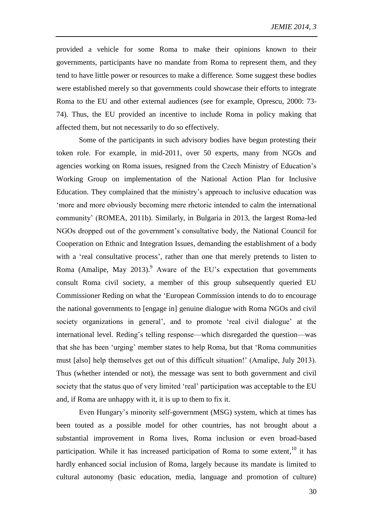provided a vehicle for some Roma to make their opinions known to their governments, participants have no mandate from Roma to represent them, and they tend to have little power or resources to make a difference. Some suggest these bodies were established merely so that governments could showcase their efforts to integrate Roma to the EU and other external audiences (see for example, Oprescu, 2000: 73- 74). Thus, the EU provided an incentive to include Roma in policy making that affected them, but not necessarily to do so effectively.

Some of the participants in such advisory bodies have begun protesting their token role. For example, in mid-2011, over 50 experts, many from NGOs and agencies working on Roma issues, resigned from the Czech Ministry of Education's Working Group on implementation of the National Action Plan for Inclusive Education. They complained that the ministry's approach to inclusive education was 'more and more obviously becoming mere rhetoric intended to calm the international community' (ROMEA, 2011b). Similarly, in Bulgaria in 2013, the largest Roma-led NGOs dropped out of the government's consultative body, the National Council for Cooperation on Ethnic and Integration Issues, demanding the establishment of a body with a 'real consultative process', rather than one that merely pretends to listen to Roma (Amalipe, May 2013).<sup>9</sup> Aware of the EU's expectation that governments consult Roma civil society, a member of this group subsequently queried EU Commissioner Reding on what the 'European Commission intends to do to encourage the national governments to [engage in] genuine dialogue with Roma NGOs and civil society organizations in general', and to promote 'real civil dialogue' at the international level. Reding's telling response—which disregarded the question—was that she has been 'urging' member states to help Roma, but that 'Roma communities must [also] help themselves get out of this difficult situation!' (Amalipe, July 2013). Thus (whether intended or not), the message was sent to both government and civil society that the status quo of very limited 'real' participation was acceptable to the EU and, if Roma are unhappy with it, it is up to them to fix it.

Even Hungary's minority self-government (MSG) system, which at times has been touted as a possible model for other countries, has not brought about a substantial improvement in Roma lives, Roma inclusion or even broad-based participation. While it has increased participation of Roma to some extent,  $10$  it has hardly enhanced social inclusion of Roma, largely because its mandate is limited to cultural autonomy (basic education, media, language and promotion of culture)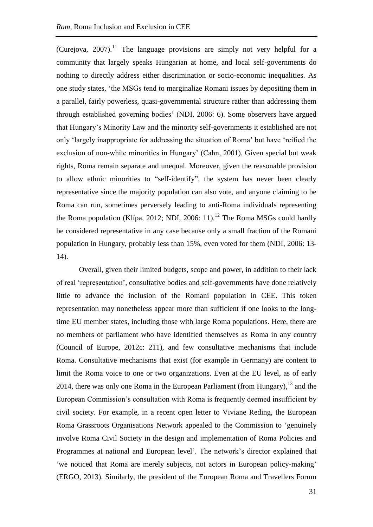(Curejova,  $2007$ ).<sup>11</sup> The language provisions are simply not very helpful for a community that largely speaks Hungarian at home, and local self-governments do nothing to directly address either discrimination or socio-economic inequalities. As one study states, 'the MSGs tend to marginalize Romani issues by depositing them in a parallel, fairly powerless, quasi-governmental structure rather than addressing them through established governing bodies' (NDI, 2006: 6). Some observers have argued that Hungary's Minority Law and the minority self-governments it established are not only 'largely inappropriate for addressing the situation of Roma' but have 'reified the exclusion of non-white minorities in Hungary' (Cahn, 2001). Given special but weak rights, Roma remain separate and unequal. Moreover, given the reasonable provision to allow ethnic minorities to "self-identify", the system has never been clearly representative since the majority population can also vote, and anyone claiming to be Roma can run, sometimes perversely leading to anti-Roma individuals representing the Roma population (Klípa, 2012; NDI, 2006: 11).<sup>12</sup> The Roma MSGs could hardly be considered representative in any case because only a small fraction of the Romani population in Hungary, probably less than 15%, even voted for them (NDI, 2006: 13- 14).

Overall, given their limited budgets, scope and power, in addition to their lack of real 'representation', consultative bodies and self-governments have done relatively little to advance the inclusion of the Romani population in CEE. This token representation may nonetheless appear more than sufficient if one looks to the longtime EU member states, including those with large Roma populations. Here, there are no members of parliament who have identified themselves as Roma in any country (Council of Europe, 2012c: 211), and few consultative mechanisms that include Roma. Consultative mechanisms that exist (for example in Germany) are content to limit the Roma voice to one or two organizations. Even at the EU level, as of early 2014, there was only one Roma in the European Parliament (from Hungary), $^{13}$  and the European Commission's consultation with Roma is frequently deemed insufficient by civil society. For example, in a recent open letter to Viviane Reding, the European Roma Grassroots Organisations Network appealed to the Commission to 'genuinely involve Roma Civil Society in the design and implementation of Roma Policies and Programmes at national and European level'. The network's director explained that 'we noticed that Roma are merely subjects, not actors in European policy-making' (ERGO, 2013). Similarly, the president of the European Roma and Travellers Forum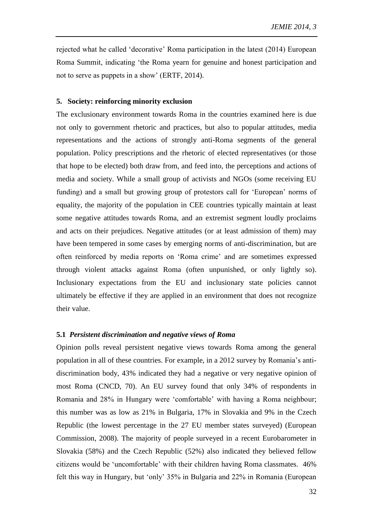rejected what he called 'decorative' Roma participation in the latest (2014) European Roma Summit, indicating 'the Roma yearn for genuine and honest participation and not to serve as puppets in a show' (ERTF, 2014).

#### **5. Society: reinforcing minority exclusion**

The exclusionary environment towards Roma in the countries examined here is due not only to government rhetoric and practices, but also to popular attitudes, media representations and the actions of strongly anti-Roma segments of the general population. Policy prescriptions and the rhetoric of elected representatives (or those that hope to be elected) both draw from, and feed into, the perceptions and actions of media and society. While a small group of activists and NGOs (some receiving EU funding) and a small but growing group of protestors call for 'European' norms of equality, the majority of the population in CEE countries typically maintain at least some negative attitudes towards Roma, and an extremist segment loudly proclaims and acts on their prejudices. Negative attitudes (or at least admission of them) may have been tempered in some cases by emerging norms of anti-discrimination, but are often reinforced by media reports on 'Roma crime' and are sometimes expressed through violent attacks against Roma (often unpunished, or only lightly so). Inclusionary expectations from the EU and inclusionary state policies cannot ultimately be effective if they are applied in an environment that does not recognize their value.

#### **5.1** *Persistent discrimination and negative views of Roma*

Opinion polls reveal persistent negative views towards Roma among the general population in all of these countries. For example, in a 2012 survey by Romania's antidiscrimination body, 43% indicated they had a negative or very negative opinion of most Roma (CNCD, 70). An EU survey found that only 34% of respondents in Romania and 28% in Hungary were 'comfortable' with having a Roma neighbour; this number was as low as 21% in Bulgaria, 17% in Slovakia and 9% in the Czech Republic (the lowest percentage in the 27 EU member states surveyed) (European Commission, 2008). The majority of people surveyed in a recent Eurobarometer in Slovakia (58%) and the Czech Republic (52%) also indicated they believed fellow citizens would be 'uncomfortable' with their children having Roma classmates. 46% felt this way in Hungary, but 'only' 35% in Bulgaria and 22% in Romania (European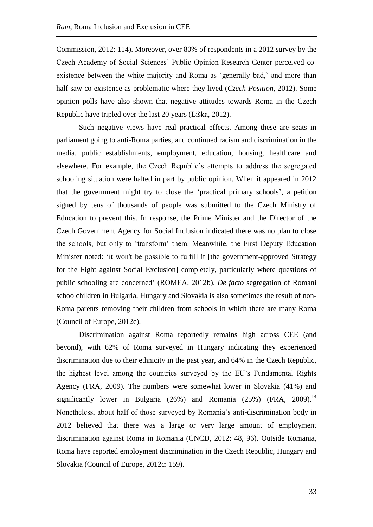Commission, 2012: 114). Moreover, over 80% of respondents in a 2012 survey by the Czech Academy of Social Sciences' Public Opinion Research Center perceived coexistence between the white majority and Roma as 'generally bad,' and more than half saw co-existence as problematic where they lived (*Czech Position*, 2012). Some opinion polls have also shown that negative attitudes towards Roma in the Czech Republic have tripled over the last 20 years (Liška, 2012).

Such negative views have real practical effects. Among these are seats in parliament going to anti-Roma parties, and continued racism and discrimination in the media, public establishments, employment, education, housing, healthcare and elsewhere. For example, the Czech Republic's attempts to address the segregated schooling situation were halted in part by public opinion. When it appeared in 2012 that the government might try to close the 'practical primary schools', a petition signed by tens of thousands of people was submitted to the Czech Ministry of Education to prevent this. In response, the Prime Minister and the Director of the Czech Government Agency for Social Inclusion indicated there was no plan to close the schools, but only to 'transform' them. Meanwhile, the First Deputy Education Minister noted: 'it won't be possible to fulfill it [the government-approved Strategy for the Fight against Social Exclusion] completely, particularly where questions of public schooling are concerned' (ROMEA, 2012b). *De facto* segregation of Romani schoolchildren in Bulgaria, Hungary and Slovakia is also sometimes the result of non-Roma parents removing their children from schools in which there are many Roma (Council of Europe, 2012c).

Discrimination against Roma reportedly remains high across CEE (and beyond), with 62% of Roma surveyed in Hungary indicating they experienced discrimination due to their ethnicity in the past year, and 64% in the Czech Republic, the highest level among the countries surveyed by the EU's Fundamental Rights Agency (FRA, 2009). The numbers were somewhat lower in Slovakia (41%) and significantly lower in Bulgaria  $(26%)$  and Romania  $(25%)$  (FRA,  $2009)$ .<sup>14</sup> Nonetheless, about half of those surveyed by Romania's anti-discrimination body in 2012 believed that there was a large or very large amount of employment discrimination against Roma in Romania (CNCD, 2012: 48, 96). Outside Romania, Roma have reported employment discrimination in the Czech Republic, Hungary and Slovakia (Council of Europe, 2012c: 159).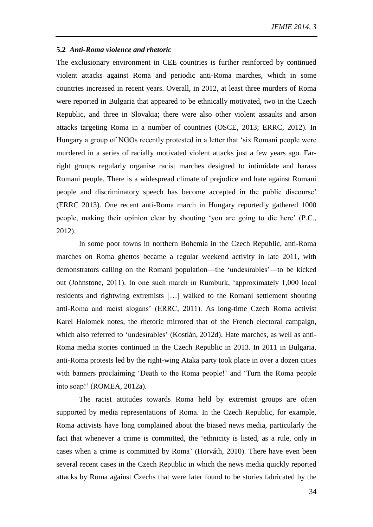#### **5.2** *Anti-Roma violence and rhetoric*

The exclusionary environment in CEE countries is further reinforced by continued violent attacks against Roma and periodic anti-Roma marches, which in some countries increased in recent years. Overall, in 2012, at least three murders of Roma were reported in Bulgaria that appeared to be ethnically motivated, two in the Czech Republic, and three in Slovakia; there were also other violent assaults and arson attacks targeting Roma in a number of countries (OSCE, 2013; ERRC, 2012). In Hungary a group of NGOs recently protested in a letter that 'six Romani people were murdered in a series of racially motivated violent attacks just a few years ago. Farright groups regularly organise racist marches designed to intimidate and harass Romani people. There is a widespread climate of prejudice and hate against Romani people and discriminatory speech has become accepted in the public discourse' (ERRC 2013). One recent anti-Roma march in Hungary reportedly gathered 1000 people, making their opinion clear by shouting 'you are going to die here' (P.C., 2012).

In some poor towns in northern Bohemia in the Czech Republic, anti-Roma marches on Roma ghettos became a regular weekend activity in late 2011, with demonstrators calling on the Romani population—the 'undesirables'—to be kicked out (Johnstone, 2011). In one such march in Rumburk, 'approximately 1,000 local residents and rightwing extremists […] walked to the Romani settlement shouting anti-Roma and racist slogans' (ERRC, 2011). As long-time Czech Roma activist Karel Holomek notes, the rhetoric mirrored that of the French electoral campaign, which also referred to 'undesirables' (Kostlán, 2012d). Hate marches, as well as anti-Roma media stories continued in the Czech Republic in 2013. In 2011 in Bulgaria, anti-Roma protests led by the right-wing Ataka party took place in over a dozen cities with banners proclaiming 'Death to the Roma people!' and 'Turn the Roma people into soap!' (ROMEA, 2012a).

The racist attitudes towards Roma held by extremist groups are often supported by media representations of Roma. In the Czech Republic, for example, Roma activists have long complained about the biased news media, particularly the fact that whenever a crime is committed, the 'ethnicity is listed, as a rule, only in cases when a crime is committed by Roma' (Horváth, 2010). There have even been several recent cases in the Czech Republic in which the news media quickly reported attacks by Roma against Czechs that were later found to be stories fabricated by the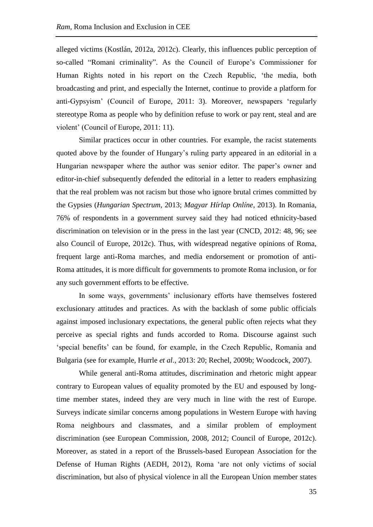alleged victims (Kostlán, 2012a, 2012c). Clearly, this influences public perception of so-called "Romani criminality". As the Council of Europe's Commissioner for Human Rights noted in his report on the Czech Republic, 'the media, both broadcasting and print, and especially the Internet, continue to provide a platform for anti-Gypsyism' (Council of Europe, 2011: 3). Moreover, newspapers 'regularly stereotype Roma as people who by definition refuse to work or pay rent, steal and are violent' (Council of Europe, 2011: 11).

Similar practices occur in other countries. For example, the racist statements quoted above by the founder of Hungary's ruling party appeared in an editorial in a Hungarian newspaper where the author was senior editor. The paper's owner and editor-in-chief subsequently defended the editorial in a letter to readers emphasizing that the real problem was not racism but those who ignore brutal crimes committed by the Gypsies (*Hungarian Spectrum*, 2013; *Magyar Hírlap Onlíne*, 2013). In Romania, 76% of respondents in a government survey said they had noticed ethnicity-based discrimination on television or in the press in the last year (CNCD, 2012: 48, 96; see also Council of Europe, 2012c). Thus, with widespread negative opinions of Roma, frequent large anti-Roma marches, and media endorsement or promotion of anti-Roma attitudes, it is more difficult for governments to promote Roma inclusion, or for any such government efforts to be effective.

In some ways, governments' inclusionary efforts have themselves fostered exclusionary attitudes and practices. As with the backlash of some public officials against imposed inclusionary expectations, the general public often rejects what they perceive as special rights and funds accorded to Roma. Discourse against such 'special benefits' can be found, for example, in the Czech Republic, Romania and Bulgaria (see for example, Hurrle *et al*., 2013: 20; Rechel, 2009b; Woodcock, 2007).

While general anti-Roma attitudes, discrimination and rhetoric might appear contrary to European values of equality promoted by the EU and espoused by longtime member states, indeed they are very much in line with the rest of Europe. Surveys indicate similar concerns among populations in Western Europe with having Roma neighbours and classmates, and a similar problem of employment discrimination (see European Commission, 2008, 2012; Council of Europe, 2012c). Moreover, as stated in a report of the Brussels-based European Association for the Defense of Human Rights (AEDH, 2012), Roma 'are not only victims of social discrimination, but also of physical violence in all the European Union member states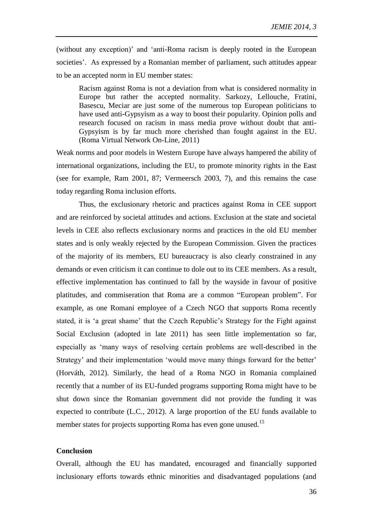(without any exception)' and 'anti-Roma racism is deeply rooted in the European societies'. As expressed by a Romanian member of parliament, such attitudes appear to be an accepted norm in EU member states:

Racism against Roma is not a deviation from what is considered normality in Europe but rather the accepted normality. Sarkozy, Lellouche, Fratini, Basescu, Meciar are just some of the numerous top European politicians to have used anti-Gypsyism as a way to boost their popularity. Opinion polls and research focused on racism in mass media prove without doubt that anti-Gypsyism is by far much more cherished than fought against in the EU. (Roma Virtual Network On-Line, 2011)

Weak norms and poor models in Western Europe have always hampered the ability of international organizations, including the EU, to promote minority rights in the East (see for example, Ram 2001, 87; Vermeersch 2003, 7), and this remains the case today regarding Roma inclusion efforts.

Thus, the exclusionary rhetoric and practices against Roma in CEE support and are reinforced by societal attitudes and actions. Exclusion at the state and societal levels in CEE also reflects exclusionary norms and practices in the old EU member states and is only weakly rejected by the European Commission. Given the practices of the majority of its members, EU bureaucracy is also clearly constrained in any demands or even criticism it can continue to dole out to its CEE members. As a result, effective implementation has continued to fall by the wayside in favour of positive platitudes, and commiseration that Roma are a common "European problem". For example, as one Romani employee of a Czech NGO that supports Roma recently stated, it is 'a great shame' that the Czech Republic's Strategy for the Fight against Social Exclusion (adopted in late 2011) has seen little implementation so far, especially as 'many ways of resolving certain problems are well-described in the Strategy' and their implementation 'would move many things forward for the better' (Horváth, 2012). Similarly, the head of a Roma NGO in Romania complained recently that a number of its EU-funded programs supporting Roma might have to be shut down since the Romanian government did not provide the funding it was expected to contribute (L.C., 2012). A large proportion of the EU funds available to member states for projects supporting Roma has even gone unused.<sup>15</sup>

# **Conclusion**

Overall, although the EU has mandated, encouraged and financially supported inclusionary efforts towards ethnic minorities and disadvantaged populations (and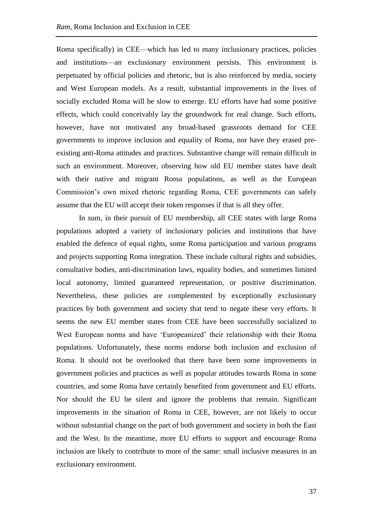Roma specifically) in CEE—which has led to many inclusionary practices, policies and institutions—an exclusionary environment persists. This environment is perpetuated by official policies and rhetoric, but is also reinforced by media, society and West European models. As a result, substantial improvements in the lives of socially excluded Roma will be slow to emerge. EU efforts have had some positive effects, which could conceivably lay the groundwork for real change. Such efforts, however, have not motivated any broad-based grassroots demand for CEE governments to improve inclusion and equality of Roma, nor have they erased preexisting anti-Roma attitudes and practices. Substantive change will remain difficult in such an environment. Moreover, observing how old EU member states have dealt with their native and migrant Roma populations, as well as the European Commission's own mixed rhetoric regarding Roma, CEE governments can safely assume that the EU will accept their token responses if that is all they offer.

In sum, in their pursuit of EU membership, all CEE states with large Roma populations adopted a variety of inclusionary policies and institutions that have enabled the defence of equal rights, some Roma participation and various programs and projects supporting Roma integration. These include cultural rights and subsidies, consultative bodies, anti-discrimination laws, equality bodies, and sometimes limited local autonomy, limited guaranteed representation, or positive discrimination. Nevertheless, these policies are complemented by exceptionally exclusionary practices by both government and society that tend to negate these very efforts. It seems the new EU member states from CEE have been successfully socialized to West European norms and have 'Europeanized' their relationship with their Roma populations. Unfortunately, these norms endorse both inclusion and exclusion of Roma. It should not be overlooked that there have been some improvements in government policies and practices as well as popular attitudes towards Roma in some countries, and some Roma have certainly benefited from government and EU efforts. Nor should the EU be silent and ignore the problems that remain. Significant improvements in the situation of Roma in CEE, however, are not likely to occur without substantial change on the part of both government and society in both the East and the West. In the meantime, more EU efforts to support and encourage Roma inclusion are likely to contribute to more of the same: small inclusive measures in an exclusionary environment.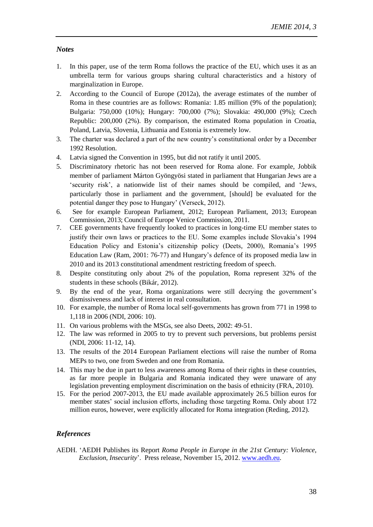# *Notes*

- 1. In this paper, use of the term Roma follows the practice of the EU, which uses it as an umbrella term for various groups sharing cultural characteristics and a history of marginalization in Europe.
- 2. According to the Council of Europe (2012a), the average estimates of the number of Roma in these countries are as follows: Romania: 1.85 million (9% of the population); Bulgaria: 750,000 (10%); Hungary: 700,000 (7%); Slovakia: 490,000 (9%); Czech Republic: 200,000 (2%). By comparison, the estimated Roma population in Croatia, Poland, Latvia, Slovenia, Lithuania and Estonia is extremely low.
- 3. The charter was declared a part of the new country's constitutional order by a December 1992 Resolution.
- 4. Latvia signed the Convention in 1995, but did not ratify it until 2005.
- 5. Discriminatory rhetoric has not been reserved for Roma alone. For example, Jobbik member of parliament Márton Gyöngyösi stated in parliament that Hungarian Jews are a 'security risk', a nationwide list of their names should be compiled, and 'Jews, particularly those in parliament and the government, [should] be evaluated for the potential danger they pose to Hungary' (Verseck, 2012).
- 6. See for example European Parliament, 2012; European Parliament, 2013; European Commission, 2013; Council of Europe Venice Commission, 2011.
- 7. CEE governments have frequently looked to practices in long-time EU member states to justify their own laws or practices to the EU. Some examples include Slovakia's 1994 Education Policy and Estonia's citizenship policy (Deets, 2000), Romania's 1995 Education Law (Ram, 2001: 76-77) and Hungary's defence of its proposed media law in 2010 and its 2013 constitutional amendment restricting freedom of speech.
- 8. Despite constituting only about 2% of the population, Roma represent 32% of the students in these schools (Bikár, 2012).
- 9. By the end of the year, Roma organizations were still decrying the government's dismissiveness and lack of interest in real consultation.
- 10. For example, the number of Roma local self-governments has grown from 771 in 1998 to 1,118 in 2006 (NDI, 2006: 10).
- 11. On various problems with the MSGs, see also Deets, 2002: 49-51.
- 12. The law was reformed in 2005 to try to prevent such perversions, but problems persist (NDI, 2006: 11-12, 14).
- 13. The results of the 2014 European Parliament elections will raise the number of Roma MEPs to two, one from Sweden and one from Romania.
- 14. This may be due in part to less awareness among Roma of their rights in these countries, as far more people in Bulgaria and Romania indicated they were unaware of any legislation preventing employment discrimination on the basis of ethnicity (FRA, 2010).
- 15. For the period 2007-2013, the EU made available approximately 26.5 billion euros for member states' social inclusion efforts, including those targeting Roma. Only about 172 million euros, however, were explicitly allocated for Roma integration (Reding, 2012).

# *References*

AEDH. 'AEDH Publishes its Report *Roma People in Europe in the 21st Century: Violence, Exclusion, Insecurity*'.Press release, November 15, 2012. [www.aedh.eu.](http://www.aedh.eu/)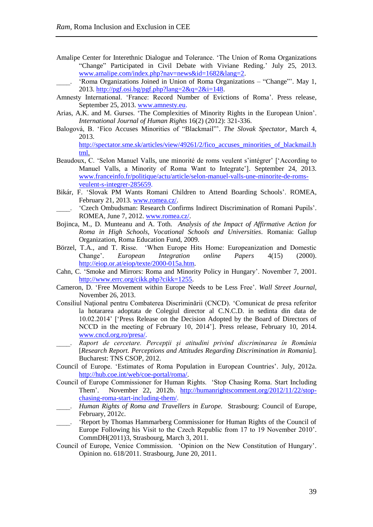Amalipe Center for Interethnic Dialogue and Tolerance. 'The Union of Roma Organizations "Change" Participated in Civil Debate with Viviane Reding.' July 25, 2013. [www.amalipe.com/index.php?nav=news&id=1682&lang=2.](http://www.amalipe.com/index.php?nav=news&id=1682&lang=2)

'Roma Organizations Joined in Union of Roma Organizations – "Change"'. May 1, 2013. http://pgf.osi.bg/pgf.php?lang= $2\&q=2\&i=148$ .

- Amnesty International. 'France: Record Number of Evictions of Roma'. Press release, September 25, 2013. [www.amnesty.eu.](http://www.amnesty.eu/)
- Arias, A.K. and M. Gurses. ['The Complexities](http://web.ebscohost.com/ehost/viewarticle?data=dGJyMPPp44rp2%2fdV0%2bnjisfk5Ie46bZRtqmxTq6k63nn5Kx95uXxjL6orUmzpbBIr6ieTrins1KyrZ5oy5zyit%2fk8Xnh6ueH7N%2fiVa%2bvr0i3p7RKsK2khN%2fk5VXj5KR84LPfiOac8nnls79mpNfsVbWmsVCxrrJIpNztiuvX8lXk6%2bqE8tv2jAAA&hid=13) of Minority Rights in the European Union'. *International Journal of Human Rights* 16(2) (2012): 321-336.
- Balogová, B. 'Fico Accuses Minorities of "Blackmail"'. *The Slovak Spectator*, March 4, 2013.

[http://spectator.sme.sk/articles/view/49261/2/fico\\_accuses\\_minorities\\_of\\_blackmail.h](http://spectator.sme.sk/articles/view/49261/2/fico_accuses_minorities_of_blackmail.html) [tml.](http://spectator.sme.sk/articles/view/49261/2/fico_accuses_minorities_of_blackmail.html)

- Beaudoux, C. 'Selon Manuel Valls, une minorité de roms veulent s'intégrer' ['According to Manuel Valls, a Minority of Roma Want to Integrate']. September 24, 2013. [www.franceinfo.fr/politique/actu/article/selon-manuel-valls-une-minorite-de-roms](http://www.franceinfo.fr/politique/actu/article/selon-manuel-valls-une-minorite-de-roms-veulent-s-integrer-285659)[veulent-s-integrer-285659.](http://www.franceinfo.fr/politique/actu/article/selon-manuel-valls-une-minorite-de-roms-veulent-s-integrer-285659)
- Bikár, F. 'Slovak PM Wants Romani Children to Attend Boarding Schools'. ROMEA, February 21, 2013. [www.romea.cz/.](http://www.romea.cz/)
- \_\_\_\_. 'Czech Ombudsman: Research Confirms Indirect Discrimination of Romani Pupils'. ROMEA, June 7, 2012[. www.romea.cz/.](http://www.romea.cz/)
- Bojinca, M., D. Munteanu and A. Toth. *Analysis of the Impact of Affirmative Action for Roma in High Schools, Vocational Schools and Universities.* Romania: Gallup Organization, Roma Education Fund, 2009.
- Börzel, T.A., and T. Risse. 'When Europe Hits Home: Europeanization and Domestic Change'. *European Integration online Papers* 4(15) (2000). [http://eiop.or.at/eiop/texte/2000-015a.htm.](http://eiop.or.at/eiop/texte/2000-015a.htm)
- Cahn, C. 'Smoke and Mirrors: Roma and Minority Policy in Hungary'. November 7, 2001. [http://www.errc.org/cikk.php?cikk=1255.](http://www.errc.org/cikk.php?cikk=1255)
- Cameron, D. 'Free Movement within Europe Needs to be Less Free'. *Wall Street Journal*, November 26, 2013.
- Consiliul Naţional pentru Combaterea Discriminării (CNCD). 'Comunicat de presa referitor la hotararea adoptata de Colegiul director al C.N.C.D. in sedinta din data de 10.02.2014' ['Press Release on the Decision Adopted by the Board of Directors of NCCD in the meeting of February 10, 2014']. Press release, February 10, 2014. [www.cncd.org.ro/presa/.](http://www.cncd.org.ro/presa/)
- \_\_\_\_. *Raport de cercetare. Percepţii şi atitudini privind discriminarea în România* [*Research Report. Perceptions and Attitudes Regarding Discrimination in Romania*]. Bucharest: TNS CSOP, 2012.
- Council of Europe. 'Estimates of Roma Population in European Countries'. July, 2012a. [http://hub.coe.int/web/coe-portal/roma/.](http://hub.coe.int/web/coe-portal/roma/)
- Council of Europe Commissioner for Human Rights. 'Stop Chasing Roma. Start Including Them'. November 22, 2012b. [http://humanrightscomment.org/2012/11/22/stop](http://humanrightscomment.org/2012/11/22/stop-chasing-roma-start-including-them/)[chasing-roma-start-including-them/.](http://humanrightscomment.org/2012/11/22/stop-chasing-roma-start-including-them/)
- \_\_\_\_. *Human Rights of Roma and Travellers in Europe.* Strasbourg: Council of Europe, February, 2012c.
- 'Report by Thomas Hammarberg Commissioner for Human Rights of the Council of Europe Following his Visit to the Czech Republic from 17 to 19 November 2010'. CommDH(2011)3, Strasbourg, March 3, 2011.
- Council of Europe, Venice Commission. 'Opinion on the New Constitution of Hungary'. Opinion no. 618/2011. Strasbourg, June 20, 2011.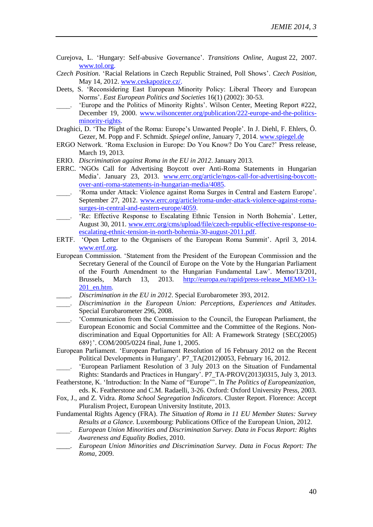- [Curejova,](http://www.tol.cz/look/TOL/printf.tpl?IdLanguage=1&IdPublication=4&NrIssue=232&NrSection=2&NrArticle=18943&ST1=ad&ST_T1=job&ST_AS1=1&ST2=body&ST_T2=letter&ST_AS2=1&ST3=text&ST_T3=aatol&ST_AS3=1&ST_max=3#author#author) L. 'Hungary: Self-abusive Governance'. *Transitions Online*, August 22, 2007. [www.tol.org.](http://www.tol.org/)
- *Czech Position*. 'Racial Relations in Czech Republic Strained, Poll Shows'. *Czech Position*, May 14, 2012. [www.ceskapozice.cz/.](http://www.ceskapozice.cz/)
- Deets, S. 'Reconsidering East European Minority Policy: Liberal Theory and European Norms'. *East European Politics and Societies* 16(1) (2002): 30-53.
- 'Europe and the Politics of Minority Rights'. Wilson Center, Meeting Report #222, December 19, 2000. [www.wilsoncenter.org/publication/222-europe-and-the-politics](http://www.wilsoncenter.org/publication/222-europe-and-the-politics-minority-rights)[minority-rights.](http://www.wilsoncenter.org/publication/222-europe-and-the-politics-minority-rights)
- Draghici, D. 'The Plight of the Roma: Europe's Unwanted People'. In J. Diehl, F. Ehlers, Ö. Gezer, M. Popp and F. Schmidt. *Spiegel online*, January 7, 2014. [www.spiegel.de](http://www.spiegel.de/)
- ERGO Network. 'Roma Exclusion in Europe: Do You Know? Do You Care?' Press release, March 19, 2013.
- ERIO. *Discrimination against Roma in the EU in 2012*. January 2013.
- ERRC. 'NGOs Call for Advertising Boycott over Anti-Roma Statements in Hungarian Media'. January 23, 2013. [www.errc.org/article/ngos-call-for-advertising-boycott](http://www.errc.org/article/ngos-call-for-advertising-boycott-over-anti-roma-statements-in-hungarian-media/4085)[over-anti-roma-statements-in-hungarian-media/4085.](http://www.errc.org/article/ngos-call-for-advertising-boycott-over-anti-roma-statements-in-hungarian-media/4085)
- 'Roma under Attack: Violence against Roma Surges in Central and Eastern Europe'. September 27, 2012. [www.errc.org/article/roma-under-attack-violence-against-roma](http://www.errc.org/article/roma-under-attack-violence-against-roma-surges-in-central-and-eastern-europe/4059)[surges-in-central-and-eastern-europe/4059.](http://www.errc.org/article/roma-under-attack-violence-against-roma-surges-in-central-and-eastern-europe/4059)
- \_\_\_\_. 'Re: Effective Response to Escalating Ethnic Tension in North Bohemia'. Letter, August 30, 2011. [www.errc.org/cms/upload/file/czech-republic-effective-response-to](http://www.errc.org/cms/upload/file/czech-republic-effective-response-to-escalating-ethnic-tension-in-north-bohemia-30-august-2011.pdf)[escalating-ethnic-tension-in-north-bohemia-30-august-2011.pdf.](http://www.errc.org/cms/upload/file/czech-republic-effective-response-to-escalating-ethnic-tension-in-north-bohemia-30-august-2011.pdf)
- ERTF. 'Open Letter to the Organisers of the European Roma Summit'. April 3, 2014. [www.ertf.org.](http://www.ertf.org/)
- European Commission. 'Statement from the President of the European Commission and the Secretary General of the Council of Europe on the Vote by the Hungarian Parliament of the Fourth Amendment to the Hungarian Fundamental Law'. Memo/13/201, Brussels, March 13, 2013. [http://europa.eu/rapid/press-release\\_MEMO-13-](http://europa.eu/rapid/press-release_MEMO-13-201_en.htm) [201\\_en.htm.](http://europa.eu/rapid/press-release_MEMO-13-201_en.htm)
- \_\_\_\_. *Discrimination in the EU in 2012*. Special Eurobarometer 393, 2012.
- \_\_\_\_. *Discrimination in the European Union: Perceptions, Experiences and Attitudes.*  Special Eurobarometer 296, 2008.
- \_\_\_\_. 'Communication from the Commission to the Council, the European Parliament, the European Economic and Social Committee and the Committee of the Regions. Nondiscrimination and Equal Opportunities for All: A Framework Strategy {SEC(2005) 689}'. COM/2005/0224 final, June 1, 2005.
- European Parliament. 'European Parliament Resolution of 16 February 2012 on the Recent Political Developments in Hungary'. P7\_TA(2012)0053, February 16, 2012.
- \_\_\_\_. 'European Parliament Resolution of 3 July 2013 on the Situation of Fundamental Rights: Standards and Practices in Hungary'. P7\_TA-PROV(2013)0315, July 3, 2013.
- Featherstone, K. 'Introduction: In the Name of "Europe"'. In *The Politics of Europeanization*, eds. K. Featherstone and C.M. Radaelli, 3-26. Oxford: Oxford University Press, 2003.
- Fox, J., and Z. Vidra. *Roma School Segregation Indicators*. Cluster Report. Florence: Accept Pluralism Project, European University Institute, 2013.
- Fundamental Rights Agency (FRA). *The Situation of Roma in 11 EU Member States: Survey Results at a Glance.* Luxembourg: Publications Office of the European Union, 2012.
- \_\_\_\_. *European Union Minorities and Discrimination Survey. Data in Focus Report: Rights Awareness and Equality Bodies*, 2010.
- \_\_\_\_. *European Union Minorities and Discrimination Survey. Data in Focus Report: The Roma*, 2009.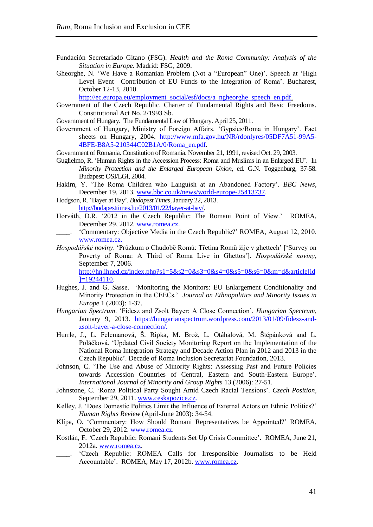- Fundación Secretariado Gitano (FSG). *Health and the Roma Community: Analysis of the Situation in Europe.* Madrid: FSG, 2009.
- Gheorghe, N. 'We Have a Romanian Problem (Not a "European" One)'. Speech at 'High Level Event—Contribution of EU Funds to the Integration of Roma'. Bucharest, October 12-13, 2010.

[http://ec.europa.eu/employment\\_social/esf/docs/a\\_ngheorghe\\_speech\\_en.pdf.](http://ec.europa.eu/employment_social/esf/docs/a_ngheorghe_speech_en.pdf)

- Government of the Czech Republic. Charter of Fundamental Rights and Basic Freedoms. Constitutional Act No. 2/1993 Sb.
- Government of Hungary. The Fundamental Law of Hungary. April 25, 2011.
- Government of Hungary, Ministry of Foreign Affairs. 'Gypsies/Roma in Hungary'. Fact sheets on Hungary, 2004. [http://www.mfa.gov.hu/NR/rdonlyres/05DF7A51-99A5-](http://www.mfa.gov.hu/NR/rdonlyres/05DF7A51-99A5-4BFE-B8A5-210344C02B1A/0/Roma_en.pdf) [4BFE-B8A5-210344C02B1A/0/Roma\\_en.pdf.](http://www.mfa.gov.hu/NR/rdonlyres/05DF7A51-99A5-4BFE-B8A5-210344C02B1A/0/Roma_en.pdf)
- Government of Romania. Constitution of Romania. November 21, 1991, revised Oct. 29, 2003.
- Guglielmo, R. 'Human Rights in the Accession Process: Roma and Muslims in an Enlarged EU'. In *Minority Protection and the Enlarged European Union*, ed. G.N. Toggenburg, 37-58. Budapest: OSI/LGI, 2004.
- Hakim, Y. 'The Roma Children who Languish at an Abandoned Factory'. *BBC News*, December 19, 2013. [www.bbc.co.uk/news/world-europe-25413737.](http://www.bbc.co.uk/news/world-europe-25413737)
- Hodgson, R. 'Bayer at Bay'. *Budapest Times,* January 22, 2013. [http://budapesttimes.hu/2013/01/22/bayer-at-bay/.](http://budapesttimes.hu/2013/01/22/bayer-at-bay/)
- Horváth, D.R. '2012 in the Czech Republic: The Romani Point of View.' ROMEA, December 29, 2012. [www.romea.cz.](http://www.romea.cz/)
- \_\_\_\_. 'Commentary: Objective Media in the Czech Republic?' ROMEA, August 12, 2010. [www.romea.cz.](http://www.romea.cz/)
- *[Hospodářské noviny](http://hn.ihned.cz/)*. 'Průzkum o Chudobĕ Romů: [Třetina Romů žije v ghettech'](http://hn.ihned.cz/c1-19244110-tretina-romu-zije-v-ghettech) ['Survey on Poverty of Roma: A Third of Roma Live in Ghettos']. *[Hospodářské noviny](http://hn.ihned.cz/)*, September 7, 2006. [http://hn.ihned.cz/index.php?s1=5&s2=0&s3=0&s4=0&s5=0&s6=0&m=d&article\[id](http://hn.ihned.cz/index.php?s1=5&s2=0&s3=0&s4=0&s5=0&s6=0&m=d&article%5bid%5d=19244110)]

 $\overline{1}$ =19244110.

- Hughes, J. and G. Sasse. 'Monitoring the Monitors: EU Enlargement Conditionality and Minority Protection in the CEECs.' *Journal on Ethnopolitics and Minority Issues in Europe* 1 (2003): 1-37.
- *Hungarian Spectrum*. 'Fidesz and Zsolt Bayer: A Close Connection'. *Hungarian Spectrum*, January 9, 2013. [https://hungarianspectrum.wordpress.com/2013/01/09/fidesz-and](https://hungarianspectrum.wordpress.com/2013/01/09/fidesz-and-zsolt-bayer-a-close-connection/)[zsolt-bayer-a-close-connection/.](https://hungarianspectrum.wordpress.com/2013/01/09/fidesz-and-zsolt-bayer-a-close-connection/)
- Hurrle, J., L. Felcmanová, Š. Ripka, M. Brož, L. Otáhalová, M. Štěpánková and L. Poláčková. 'Updated Civil Society Monitoring Report on the Implementation of the National Roma Integration Strategy and Decade Action Plan in 2012 and 2013 in the Czech Republic'. Decade of Roma Inclusion Secretariat Foundation, 2013.
- Johnson, C. 'The Use and Abuse of Minority Rights: Assessing Past and Future Policies towards Accession Countries of Central, Eastern and South-Eastern Europe'. *International Journal of Minority and Group Rights* 13 (2006): 27-51.
- Johnstone, C. 'Roma Political Party Sought Amid Czech Racial Tensions'. *Czech Position*, September 29, 2011. [www.ceskapozice.cz.](http://www.ceskapozice.cz/)
- Kelley, J. 'Does Domestic Politics Limit the Influence of External Actors on Ethnic Politics?' *Human Rights Review* (April-June 2003): 34-54.
- Klípa, O. 'Commentary: How Should Romani Representatives be Appointed?' ROMEA, October 29, 2012. [www.romea.cz.](http://www.romea.cz/)
- Kostlán, F. *'*Czech Republic: Romani Students Set Up Crisis Committee'.ROMEA, June 21, 2012a. [www.romea.cz.](http://www.romea.cz/)
- 'Czech Republic: ROMEA Calls for Irresponsible Journalists to be Held Accountable'. ROMEA, May 17, 2012b. [www.romea.cz.](http://www.romea.cz/)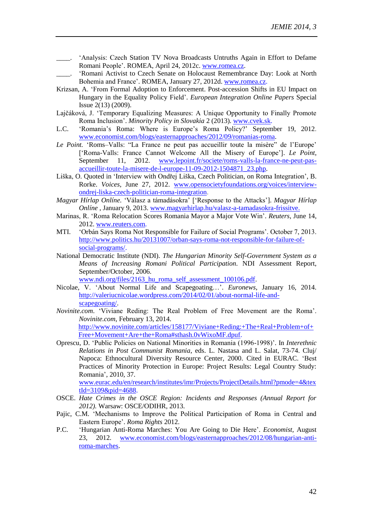- \_\_\_\_. 'Analysis: Czech Station TV Nova Broadcasts Untruths Again in Effort to Defame Romani People'. ROMEA, April 24, 2012c. [www.romea.cz.](http://www.romea.cz/)
- \_\_\_\_. 'Romani Activist to Czech Senate on Holocaust Remembrance Day: Look at North Bohemia and France'. ROMEA, January 27, 2012d. [www.romea.cz.](http://www.romea.cz/)
- Krizsan, A. 'From Formal Adoption to Enforcement. Post-accession Shifts in EU Impact on Hungary in the Equality Policy Field'. *European Integration Online Papers* Special Issue 2(13) (2009).
- Lajčáková, J. 'Temporary Equalizing Measures: A Unique Opportunity to Finally Promote Roma Inclusion'. *Minority Policy in Slovakia* 2 (2013). [www.cvek.sk.](http://www.cvek.sk/)
- L.C. 'Romania's Roma: Where is Europe's Roma Policy?' September 19, 2012. [www.economist.com/blogs/easternapproaches/2012/09/romanias-roma.](http://www.economist.com/blogs/easternapproaches/2012/09/romanias-roma)
- *Le Point.* 'Roms–Valls: "La France ne peut pas accueillir toute la misère" de l'Europe' ['Roma-Valls: France Cannot Welcome All the Misery of Europe']. *Le Point*, September 11, 2012. [www.lepoint.fr/societe/roms-valls-la-france-ne-peut-pas](http://www.lepoint.fr/societe/roms-valls-la-france-ne-peut-pas-accueillir-toute-la-misere-de-l-europe-11-09-2012-1504871_23.php)[accueillir-toute-la-misere-de-l-europe-11-09-2012-1504871\\_23.php.](http://www.lepoint.fr/societe/roms-valls-la-france-ne-peut-pas-accueillir-toute-la-misere-de-l-europe-11-09-2012-1504871_23.php)
- Liška, O. Quoted in 'Interview with Ondřej Liška, Czech Politician, on Roma Integration', B. Rorke. *Voices*, June 27, 2012. [www.opensocietyfoundations.org/voices/interview](http://www.opensocietyfoundations.org/voices/interview-ondrej-liska-czech-politician-roma-integration)[ondrej-liska-czech-politician-roma-integration.](http://www.opensocietyfoundations.org/voices/interview-ondrej-liska-czech-politician-roma-integration)
- *Magyar Hírlap Onlíne.* 'Válasz a támadásokra' ['Response to the Attacks']. *Magyar Hírlap Onlíne* , January 9, 2013. [www.magyarhirlap.hu/valasz-a-tamadasokra-frissitve.](http://www.magyarhirlap.hu/valasz-a-tamadasokra-frissitve)
- Marinas, R. 'Roma Relocation Scores Romania Mayor a Major Vote Win'. *Reuters*, June 14, 2012. [www.reuters.com.](http://www.reuters.com/)
- MTI. 'Orbán Says Roma Not Responsible for Failure of Social Programs'. October 7, 2013. [http://www.politics.hu/20131007/orban-says-roma-not-responsible-for-failure-of](http://www.politics.hu/20131007/orban-says-roma-not-responsible-for-failure-of-social-programs/)[social-programs/.](http://www.politics.hu/20131007/orban-says-roma-not-responsible-for-failure-of-social-programs/)
- National Democratic Institute (NDI). *The Hungarian Minority Self-Government System as a Means of Increasing Romani Political Participation.* NDI Assessment Report, September/October, 2006. [www.ndi.org/files/2163\\_hu\\_roma\\_self\\_assessment\\_100106.pdf.](http://www.ndi.org/files/2163_hu_roma_self_assessment_100106.pdf)
- Nicolae, V. 'About Normal Life and Scapegoating…'. *Euronews*, January 16, 2014. [http://valeriucnicolae.wordpress.com/2014/02/01/about-normal-life-and](http://valeriucnicolae.wordpress.com/2014/02/01/about-normal-life-and-scapegoating/)[scapegoating/.](http://valeriucnicolae.wordpress.com/2014/02/01/about-normal-life-and-scapegoating/)
- *Novinite.com*. 'Viviane Reding: The Real Problem of Free Movement are the Roma'. *Novinite.com*, February 13, 2014. [http://www.novinite.com/articles/158177/Viviane+Reding:+The+Real+Problem+of+](http://www.novinite.com/articles/158177/Viviane+Reding:+The+Real+Problem+of+Free+Movement+Are+the+Roma#sthash.0vWixoMF.dpuf) [Free+Movement+Are+the+Roma#sthash.0vWixoMF.dpuf.](http://www.novinite.com/articles/158177/Viviane+Reding:+The+Real+Problem+of+Free+Movement+Are+the+Roma#sthash.0vWixoMF.dpuf)
- Oprescu, D. 'Public Policies on National Minorities in Romania (1996-1998)'. In *Interethnic Relations in Post Communist Romania*, eds. L. Nastasa and L. Salat, 73-74. Cluj/ Napoca: Ethnocultural Diversity Resource Center, 2000. Cited in EURAC. 'Best Practices of Minority Protection in Europe: Project Results: Legal Country Study: Romania', 2010, 37.

[www.eurac.edu/en/research/institutes/imr/Projects/ProjectDetails.html?pmode=4&tex](http://www.eurac.edu/en/research/institutes/imr/Projects/ProjectDetails.html?pmode=4&textId=3109&pid=4688) [tId=3109&pid=4688.](http://www.eurac.edu/en/research/institutes/imr/Projects/ProjectDetails.html?pmode=4&textId=3109&pid=4688)

- OSCE. *Hate Crimes in the OSCE Region: Incidents and Responses (Annual Report for 2012).* Warsaw: OSCE/ODIHR, 2013.
- Pajic, C.M. 'Mechanisms to Improve the Political Participation of Roma in Central and Eastern Europe'. *Roma Rights* 2012.
- P.C. 'Hungarian Anti-Roma Marches: You Are Going to Die Here'. *Economist,* August 23, 2012. [www.economist.com/blogs/easternapproaches/2012/08/hungarian-anti](http://www.economist.com/blogs/easternapproaches/2012/08/hungarian-anti-roma-marches)[roma-marches.](http://www.economist.com/blogs/easternapproaches/2012/08/hungarian-anti-roma-marches)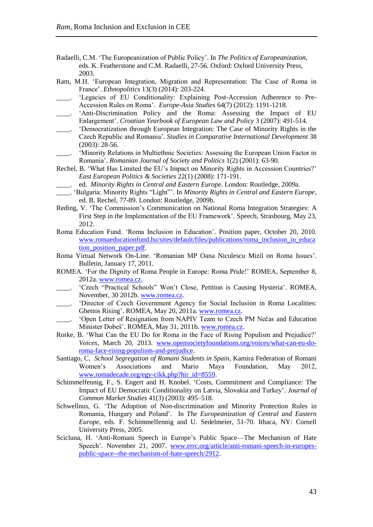- Radaelli, C.M. 'The Europeanization of Public Policy'. In *The Politics of Europeanization,* eds. K. Featherstone and C.M. Radaelli, 27-56. Oxford: Oxford University Press, 2003.
- Ram, M.H. 'European Integration, Migration and Representation: The Case of Roma in France'. *Ethnopolitics* 13(3) (2014): 203-224.
- 'Legacies of EU Conditionality: Explaining Post-Accession Adherence to Pre-Accession Rules on Roma'. *Europe-Asia Studies* 64(7) (2012): 1191-1218.
- 'Anti-Discrimination Policy and the Roma: Assessing the Impact of EU Enlargement'. *Croatian Yearbook of European Law and Policy* 3 (2007): 491-514.
- \_\_\_\_. 'Democratization through European Integration: The Case of Minority Rights in the Czech Republic and Romania'. *Studies in Comparative International Development* 38 (2003): 28-56.
- \_\_\_\_. 'Minority Relations in Multiethnic Societies: Assessing the European Union Factor in Romania'. *Romanian Journal of Society and Politics* 1(2) (2001): 63-90.
- Rechel, B. 'What Has Limited the EU's Impact on Minority Rights in Accession Countries?' *East European Politics & Societies* 22(1) (2008): 171-191.
- \_\_\_\_. ed. *Minority Rights in Central and Eastern Europe.* London: Routledge, 2009a.
- \_\_\_\_. 'Bulgaria: Minority Rights "Light"'. In *Minority Rights in Central and Eastern Europe*, ed. B. Rechel, 77-89. London: Routledge, 2009b.
- Reding, V. 'The Commission's Communication on National Roma Integration Strategies: A First Step in the Implementation of the EU Framework'. Speech, Strasbourg, May 23, 2012.
- Roma Education Fund. 'Roma Inclusion in Education'. Position paper, October 20, 2010. [www.romaeducationfund.hu/sites/default/files/publications/roma\\_inclusion\\_in\\_educa](http://www.romaeducationfund.hu/sites/default/files/publications/roma_inclusion_in_education_position_paper.pdf) tion position paper.pdf.
- Roma Virtual Network On-Line. 'Romanian MP Oana Niculescu Mizil on Roma Issues'. Bulletin, January 17, 2011.
- ROMEA. 'For the Dignity of Roma People in Europe: Roma Pride!' ROMEA, September 8, 2012a. [www.romea.cz.](http://www.romea.cz/)
- 'Czech "Practical Schools" Won't Close, Petition is Causing Hysteria'. ROMEA, November, 30 2012b. [www.romea.cz.](http://www.romea.cz/)
- 'Director of Czech Government Agency for Social Inclusion in Roma Localities: Ghettos Rising'. ROMEA, May 20, 2011a. [www.romea.cz.](http://www.romea.cz/)
- 'Open Letter of Resignation from NAPIV Team to Czech PM Nečas and Education Minister Dobeš'. ROMEA, May 31, 2011b. [www.romea.cz.](http://www.romea.cz/)
- Rorke, B. 'What Can the EU Do for Roma in the Face of Rising Populism and Prejudice?' *Voices,* March 20, 2013. [www.opensocietyfoundations.org/voices/what-can-eu-do](http://www.opensocietyfoundations.org/voices/what-can-eu-do-roma-face-rising-populism-and-prejudice)[roma-face-rising-populism-and-prejudice.](http://www.opensocietyfoundations.org/voices/what-can-eu-do-roma-face-rising-populism-and-prejudice)
- Santiago, C. *School Segregation of Romani Students in Spain*, Kamira Federation of Romani Women's Associations and Mario Maya Foundation, May 2012, [www.romadecade.org/egy-cikk.php?hir\\_id=8559.](http://www.romadecade.org/egy-cikk.php?hir_id=8559)
- Schimmelfennig, F., S. Engert and H. Knobel. 'Costs, Commitment and Compliance: The Impact of EU Democratic Conditionality on Latvia, Slovakia and Turkey'. *Journal of Common Market Studies* 41(3) (2003): 495–518.
- Schwellnus, G. 'The Adoption of Non-discrimination and Minority Protection Rules in Romania, Hungary and Poland'. In *The Europeanization of Central and Eastern Europe*, eds. F. Schimmelfennig and U. Sedelmeier, 51-70. Ithaca, NY: Cornell University Press, 2005.
- Scicluna, H. 'Anti-Romani Speech in Europe's Public Space—The Mechanism of Hate Speech'. November 21, 2007. [www.errc.org/article/anti-romani-speech-in-europes](http://www.errc.org/article/anti-romani-speech-in-europes-public-space--the-mechanism-of-hate-speech/2912)[public-space--the-mechanism-of-hate-speech/2912.](http://www.errc.org/article/anti-romani-speech-in-europes-public-space--the-mechanism-of-hate-speech/2912)